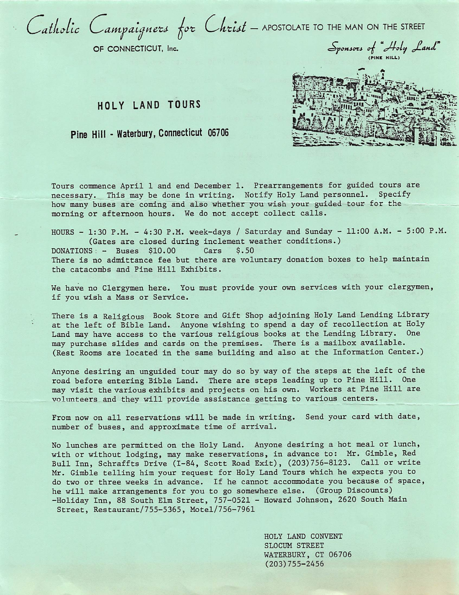

OF CONNECTICUT, inc.

 $\mathcal{L}$ and (LINE UIPP)

## HOLY LAND TOURS

Pine Hill - Waterbury, Connecticut 06706

Tours connnence April 1 and end December 1. Prearrangements for guided tours are necessary. This may be done in writing. Notify Holy Land personnel. Specify how many buses are coming and also whether you wish your guided-tour for the morning or afternoon hours. We do not accept collect calls.

HOURS - 1:30 P.M. - 4:30 P.M. week-days / Saturday and Sunday - 11:00 A.M. - 5:00 P.M. (Gates are closed during inclement weather conditions.)<br>S: - Buses \$10.00  $\text{Cars}$  \$.50  $DOMATIONS: - Buses$  \$10.00 There is no admittance fee but there are voluntary donation boxes to help maintain the catacombs and Pine Hill Exhibits.

We have no Clergymen here. You must provide your own services with your clergymen, if you wish a Mass or Service.

There is a Religious Book Store and Gift Shop adjoining Holy Land Lending Library at the left of Bible Land. Anyone wishing to spend a day of recollection at Holy Land may have access to the various religious books at the Lending Library. One may purchase slides and cards on the premises. There is a mailbox available. (Rest Rooms are located in the same building and also at the Information Center.)

Anyone desiring an unguided tour may do so by way of the steps at the left of the road before entering Bible Land. There are steps leading up to Pine Hill. One may visit the various exhibits and projects on his own. Workers at Pine Hill are volunteers and they will provide assistance getting to various centers.

From now on all reservations will be made in writing. Send your card with date, number of buses, and approximate time of arrival.

No lunches are permitted on the Holy Land. Anyone desiring a hot meal or lunch, with or without lodging, may make reservations, in advance to: Mr. Gimble, Red Bull Inn, Schraffts Drive (I-84, Scott Road Exit), (203)756-8123. Call or write Mr. Gimble telling him your request for Holy Land Tours which he expects you to do two or three weeks in advance. If he cannot accommodate you because of space, he will make arrangements for you to go somewhere else. (Group Discounts) -Holiday Inn, 88 South Elm Street, 757-0521 - Howard Johnson, 2620 South Main Street, Restaurant/755-5365, Motel/756-7961

> HOLY LAND CONVENT SLOCUM STREET WATERBURY, CT 06706 (203)755-2456